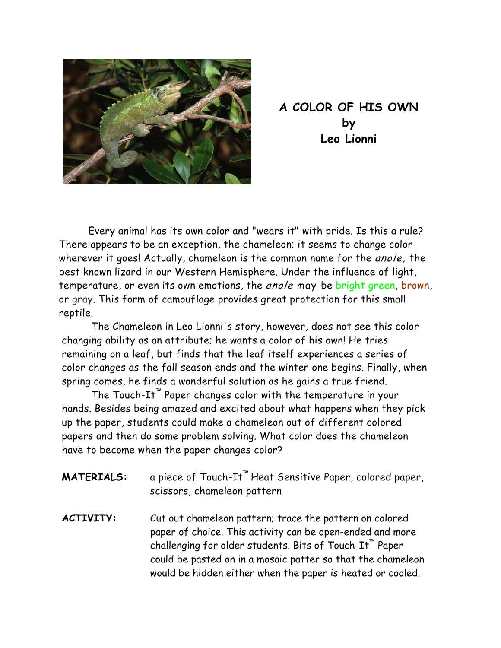

**A COLOR OF HIS OWN by Leo Lionni** 

Every animal has its own color and "wears it" with pride. Is this a rule? There appears to be an exception, the chameleon; it seems to change color wherever it goes! Actually, chameleon is the common name for the *anole*, the best known lizard in our Western Hemisphere. Under the influence of light, temperature, or even its own emotions, the anole may be bright green, brown, or gray. This form of camouflage provides great protection for this small reptile.

The Chameleon in Leo Lionni's story, however, does not see this color changing ability as an attribute; he wants a color of his own! He tries remaining on a leaf, but finds that the leaf itself experiences a series of color changes as the fall season ends and the winter one begins. Finally, when spring comes, he finds a wonderful solution as he gains a true friend.

The Touch-It™ Paper changes color with the temperature in your hands. Besides being amazed and excited about what happens when they pick up the paper, students could make a chameleon out of different colored papers and then do some problem solving. What color does the chameleon have to become when the paper changes color?

- **MATERIALS:** a piece of Touch-It™ Heat Sensitive Paper, colored paper, scissors, chameleon pattern
- **ACTIVITY:** Cut out chameleon pattern; trace the pattern on colored paper of choice. This activity can be open-ended and more challenging for older students. Bits of Touch-It™ Paper could be pasted on in a mosaic patter so that the chameleon would be hidden either when the paper is heated or cooled.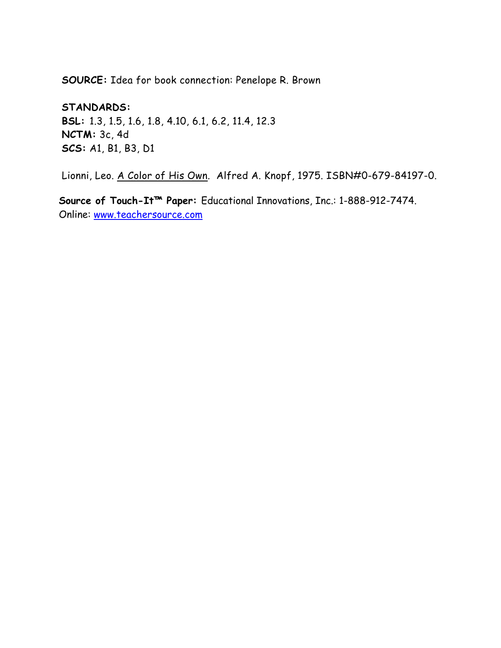**SOURCE:** Idea for book connection: Penelope R. Brown

**STANDARDS: BSL:** 1.3, 1.5, 1.6, 1.8, 4.10, 6.1, 6.2, 11.4, 12.3 **NCTM:** 3c, 4d **SCS:** A1, B1, B3, D1

Lionni, Leo. A Color of His Own. Alfred A. Knopf, 1975. ISBN#0-679-84197-0.

**Source of Touch-It™ Paper:** Educational Innovations, Inc.: 1-888-912-7474. Online: www.teachersource.com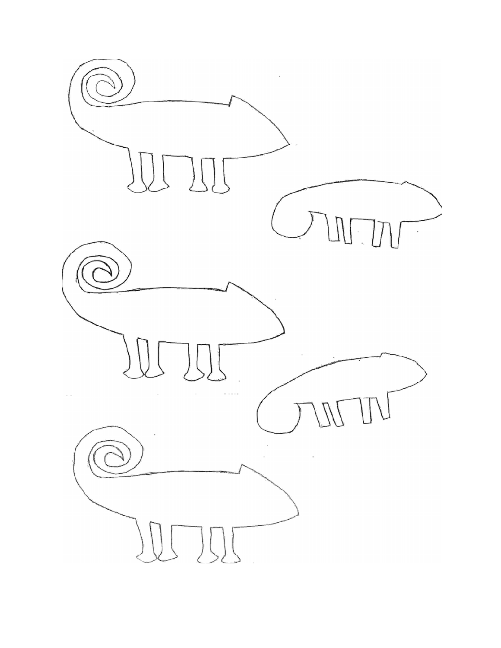